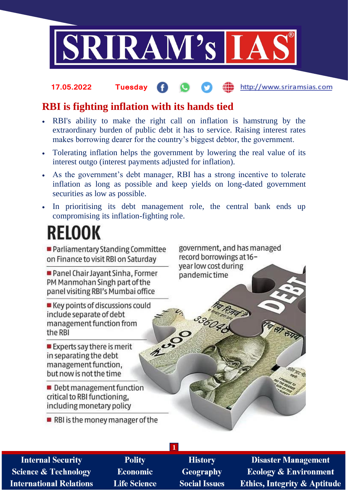

#### http://www.sriramsias.com **17.05.2022 Tuesday**

## **RBI is fighting inflation with its hands tied**

- RBI's ability to make the right call on inflation is hamstrung by the extraordinary burden of public debt it has to service. Raising interest rates makes borrowing dearer for the country's biggest debtor, the government.
- Tolerating inflation helps the government by lowering the real value of its interest outgo (interest payments adjusted for inflation).
- As the government's debt manager, RBI has a strong incentive to tolerate inflation as long as possible and keep yields on long-dated government securities as low as possible.
- In prioritising its debt management role, the central bank ends up compromising its inflation-fighting role.

# **RELOOK**

Parliamentary Standing Committee on Finance to visit RBI on Saturday

Panel Chair Javant Sinha, Former PM Manmohan Singh part of the panel visiting RBI's Mumbai office

■ Key points of discussions could include separate of debt management function from 2000 the RBI

government, and has managed record borrowings at 16year low cost during pandemic time

33604

 $\blacksquare$  Experts say there is merit in separating the debt management function. but now is not the time

Debt management function critical to RBI functioning. including monetary policy

 $\blacksquare$  RBI is the money manager of the

**Internal Security Science & Technology International Relations** 

**Polity Economic Life Science** 

**History Geography Social Issues** 

**1**

**Disaster Management Ecology & Environment Ethics, Integrity & Aptitude**